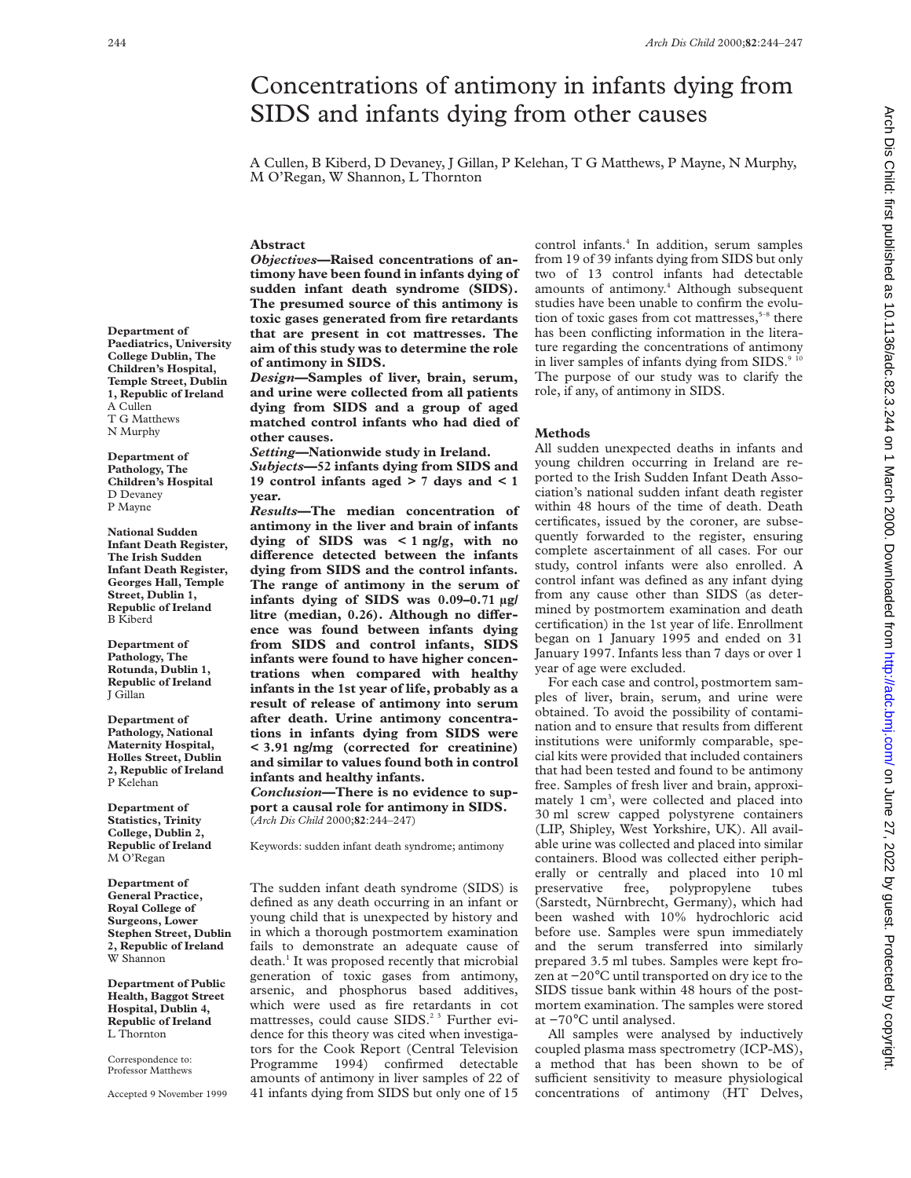# Concentrations of antimony in infants dying from SIDS and infants dying from other causes

A Cullen, B Kiberd, D Devaney, J Gillan, P Kelehan, T G Matthews, P Mayne, N Murphy, M O'Regan, W Shannon, L Thornton

## **Abstract**

*Objectives***—Raised concentrations of antimony have been found in infants dying of sudden infant death syndrome (SIDS). The presumed source of this antimony is toxic gases generated from fire retardants that are present in cot mattresses. The aim of this study was to determine the role of antimony in SIDS.**

*Design***—Samples of liver, brain, serum, and urine were collected from all patients dying from SIDS and a group of aged matched control infants who had died of other causes.**

*Setting***—Nationwide study in Ireland.** *Subjects***—52 infants dying from SIDS and 19 control infants aged > 7 days and < 1 year.**

*Results***—The median concentration of antimony in the liver and brain of infants dying of SIDS was < 1 ng/g, with no** difference detected between the infants **dying from SIDS and the control infants. The range of antimony in the serum of infants dying of SIDS was 0.09–0.71 µg/** litre (median, 0.26). Although no differ**ence was found between infants dying from SIDS and control infants, SIDS infants were found to have higher concentrations when compared with healthy infants in the 1st year of life, probably as a result of release of antimony into serum after death. Urine antimony concentrations in infants dying from SIDS were < 3.91 ng/mg (corrected for creatinine) and similar to values found both in control infants and healthy infants.**

*Conclusion***—There is no evidence to support a causal role for antimony in SIDS.** (*Arch Dis Child* 2000;**82**:244–247)

Keywords: sudden infant death syndrome; antimony

The sudden infant death syndrome (SIDS) is defined as any death occurring in an infant or young child that is unexpected by history and in which a thorough postmortem examination fails to demonstrate an adequate cause of death.<sup>1</sup> It was proposed recently that microbial generation of toxic gases from antimony, arsenic, and phosphorus based additives, which were used as fire retardants in cot mattresses, could cause SIDS.<sup>2 3</sup> Further evidence for this theory was cited when investigators for the Cook Report (Central Television Programme 1994) confirmed detectable amounts of antimony in liver samples of 22 of 41 infants dying from SIDS but only one of 15

control infants.4 In addition, serum samples from 19 of 39 infants dying from SIDS but only two of 13 control infants had detectable amounts of antimony.<sup>4</sup> Although subsequent studies have been unable to confirm the evolution of toxic gases from cot mattresses, $5-8$  there has been conflicting information in the literature regarding the concentrations of antimony in liver samples of infants dying from SIDS.<sup>9</sup> The purpose of our study was to clarify the role, if any, of antimony in SIDS.

## **Methods**

All sudden unexpected deaths in infants and young children occurring in Ireland are reported to the Irish Sudden Infant Death Association's national sudden infant death register within 48 hours of the time of death. Death certificates, issued by the coroner, are subsequently forwarded to the register, ensuring complete ascertainment of all cases. For our study, control infants were also enrolled. A control infant was defined as any infant dying from any cause other than SIDS (as determined by postmortem examination and death certification) in the 1st year of life. Enrollment began on 1 January 1995 and ended on 31 January 1997. Infants less than 7 days or over 1 year of age were excluded.

For each case and control, postmortem samples of liver, brain, serum, and urine were obtained. To avoid the possibility of contamination and to ensure that results from different institutions were uniformly comparable, special kits were provided that included containers that had been tested and found to be antimony free. Samples of fresh liver and brain, approximately 1 cm<sup>3</sup>, were collected and placed into 30 ml screw capped polystyrene containers (LIP, Shipley, West Yorkshire, UK). All available urine was collected and placed into similar containers. Blood was collected either peripherally or centrally and placed into 10 ml<br>preservative free, polypropylene tubes polypropylene tubes (Sarstedt, Nürnbrecht, Germany), which had been washed with 10% hydrochloric acid before use. Samples were spun immediately and the serum transferred into similarly prepared 3.5 ml tubes. Samples were kept frozen at −20°C until transported on dry ice to the SIDS tissue bank within 48 hours of the postmortem examination. The samples were stored at −70°C until analysed.

All samples were analysed by inductively coupled plasma mass spectrometry (ICP-MS), a method that has been shown to be of sufficient sensitivity to measure physiological concentrations of antimony (HT Delves,

**Department of Paediatrics, University College Dublin, The Children's Hospital, Temple Street, Dublin 1, Republic of Ireland** A Cullen T G Matthews N Murphy

**Department of Pathology, The Children's Hospital** D Devaney P Mayne

**National Sudden Infant Death Register, The Irish Sudden Infant Death Register, Georges Hall, Temple Street, Dublin 1, Republic of Ireland** B Kiberd

**Department of Pathology, The Rotunda, Dublin 1, Republic of Ireland** J Gillan

**Department of Pathology, National Maternity Hospital, Holles Street, Dublin 2, Republic of Ireland** P Kelehan

**Department of Statistics, Trinity College, Dublin 2, Republic of Ireland** M O'Regan

**Department of General Practice, Royal College of Surgeons, Lower Stephen Street, Dublin 2, Republic of Ireland** W Shannon

**Department of Public Health, Baggot Street Hospital, Dublin 4, Republic of Ireland** L Thornton

Correspondence to: Professor Matthews

Accepted 9 November 1999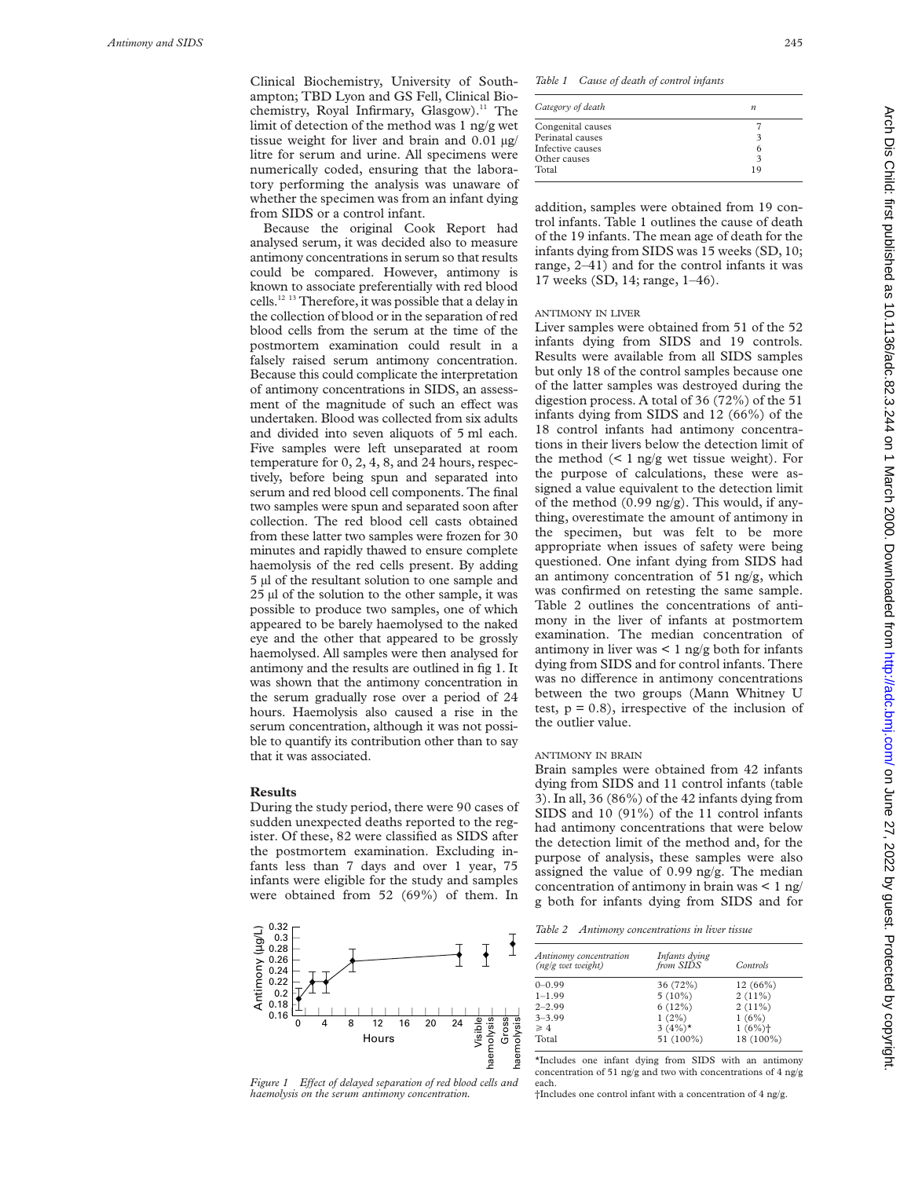Clinical Biochemistry, University of Southampton; TBD Lyon and GS Fell, Clinical Biochemistry, Royal Infirmary, Glasgow).<sup>11</sup> The limit of detection of the method was 1 ng/g wet tissue weight for liver and brain and 0.01 µg/ litre for serum and urine. All specimens were numerically coded, ensuring that the laboratory performing the analysis was unaware of whether the specimen was from an infant dying from SIDS or a control infant.

Because the original Cook Report had analysed serum, it was decided also to measure antimony concentrations in serum so that results could be compared. However, antimony is known to associate preferentially with red blood cells.12 13 Therefore, it was possible that a delay in the collection of blood or in the separation of red blood cells from the serum at the time of the postmortem examination could result in a falsely raised serum antimony concentration. Because this could complicate the interpretation of antimony concentrations in SIDS, an assessment of the magnitude of such an effect was undertaken. Blood was collected from six adults and divided into seven aliquots of 5 ml each. Five samples were left unseparated at room temperature for 0, 2, 4, 8, and 24 hours, respectively, before being spun and separated into serum and red blood cell components. The final two samples were spun and separated soon after collection. The red blood cell casts obtained from these latter two samples were frozen for 30 minutes and rapidly thawed to ensure complete haemolysis of the red cells present. By adding 5 µl of the resultant solution to one sample and 25 µl of the solution to the other sample, it was possible to produce two samples, one of which appeared to be barely haemolysed to the naked eye and the other that appeared to be grossly haemolysed. All samples were then analysed for antimony and the results are outlined in fig 1. It was shown that the antimony concentration in the serum gradually rose over a period of 24 hours. Haemolysis also caused a rise in the serum concentration, although it was not possible to quantify its contribution other than to say that it was associated.

## **Results**

During the study period, there were 90 cases of sudden unexpected deaths reported to the register. Of these, 82 were classified as SIDS after the postmortem examination. Excluding infants less than 7 days and over 1 year, 75 infants were eligible for the study and samples were obtained from 52 (69%) of them. In



*Figure 1 Effect of delayed separation of red blood cells and haemolysis on the serum antimony concentration.*

*Table 1 Cause of death of control infants*

| Category of death | $\boldsymbol{n}$ |
|-------------------|------------------|
| Congenital causes |                  |
| Perinatal causes  | 3                |
| Infective causes  | 6                |
| Other causes      | 3                |
| Total             | 19               |

addition, samples were obtained from 19 control infants. Table 1 outlines the cause of death of the 19 infants. The mean age of death for the infants dying from SIDS was 15 weeks (SD, 10; range, 2–41) and for the control infants it was 17 weeks (SD, 14; range, 1–46).

#### ANTIMONY IN LIVER

Liver samples were obtained from 51 of the 52 infants dying from SIDS and 19 controls. Results were available from all SIDS samples but only 18 of the control samples because one of the latter samples was destroyed during the digestion process. A total of 36 (72%) of the 51 infants dying from SIDS and 12 (66%) of the 18 control infants had antimony concentrations in their livers below the detection limit of the method  $\left($  < 1 ng/g wet tissue weight). For the purpose of calculations, these were assigned a value equivalent to the detection limit of the method (0.99 ng/g). This would, if anything, overestimate the amount of antimony in the specimen, but was felt to be more appropriate when issues of safety were being questioned. One infant dying from SIDS had an antimony concentration of 51 ng/g, which was confirmed on retesting the same sample. Table 2 outlines the concentrations of antimony in the liver of infants at postmortem examination. The median concentration of antimony in liver was  $\lt 1$  ng/g both for infants dying from SIDS and for control infants. There was no difference in antimony concentrations between the two groups (Mann Whitney U test,  $p = 0.8$ ), irrespective of the inclusion of the outlier value.

### ANTIMONY IN BRAIN

Brain samples were obtained from 42 infants dying from SIDS and 11 control infants (table 3). In all, 36 (86%) of the 42 infants dying from SIDS and 10 (91%) of the 11 control infants had antimony concentrations that were below the detection limit of the method and, for the purpose of analysis, these samples were also assigned the value of 0.99 ng/g. The median concentration of antimony in brain was  $\leq 1$  ng/ g both for infants dying from SIDS and for

*Table 2 Antimony concentrations in liver tissue*

| Antinomy concentration<br>(ng/g wet weight) | Infants dying<br>from SIDS | Controls   |
|---------------------------------------------|----------------------------|------------|
| $0-0.99$                                    | 36 (72%)                   | $12(66\%)$ |
| $1 - 1.99$                                  | $5(10\%)$                  | $2(11\%)$  |
| $2 - 2.99$                                  | 6(12%)                     | 2(11%)     |
| $3 - 3.99$                                  | $1(2\%)$                   | 1(6%)      |
| $\geq 4$                                    | 3 $(4\%)^*$                | 1(6%)      |
| Total                                       | 51 (100%)                  | 18 (100%)  |

\*Includes one infant dying from SIDS with an antimony concentration of 51 ng/g and two with concentrations of 4 ng/g each.

†Includes one control infant with a concentration of 4 ng/g.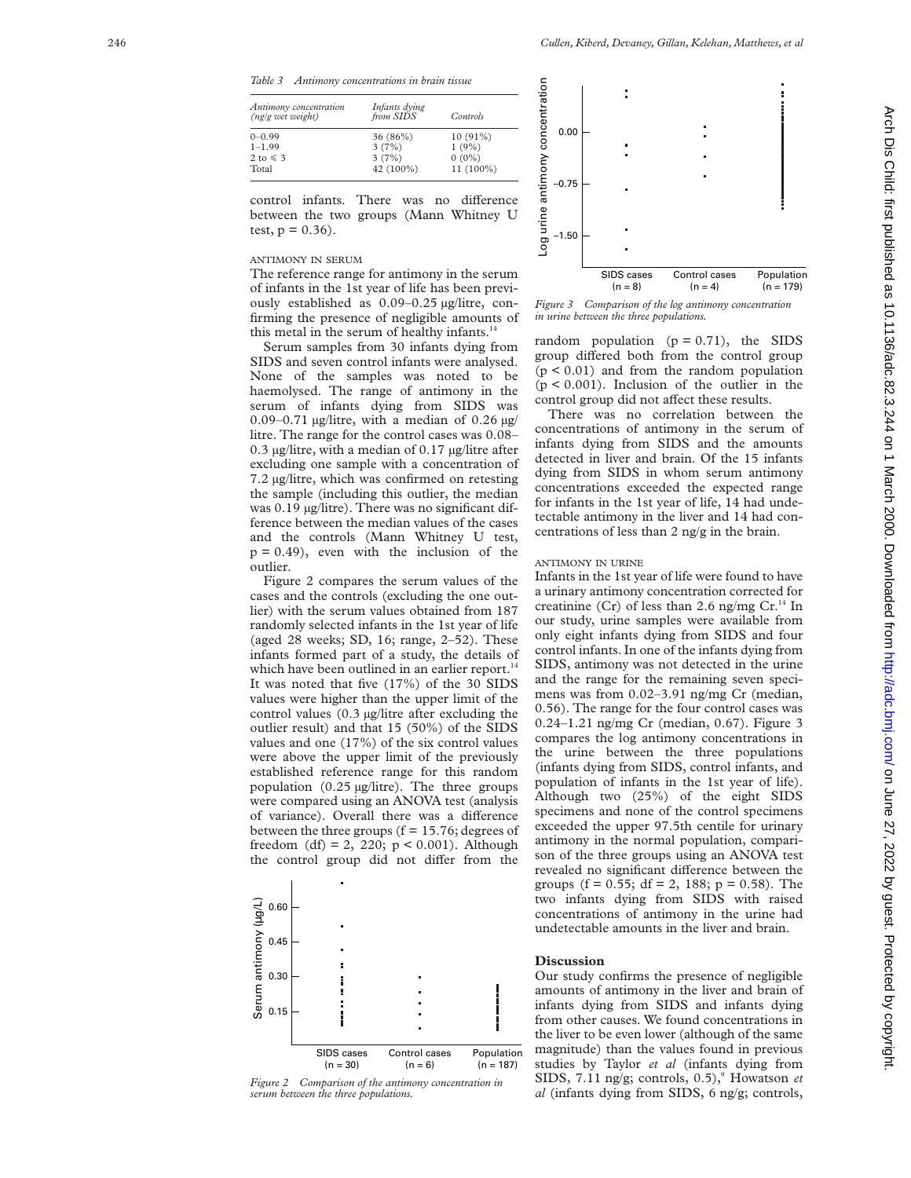*Table 3 Antimony concentrations in brain tissue*

| Antimony concentration<br>(ng/g wet weight) | Infants dying<br>from SIDS | Controls    |
|---------------------------------------------|----------------------------|-------------|
| $0-0.99$                                    | 36 (86%)                   | $10(91\%)$  |
| $1 - 1.99$                                  | 3(7%)                      | $1(9\%)$    |
| $2 \text{ to } 5$                           | 3(7%)                      | $0(0\%)$    |
| Total                                       | 42 (100%)                  | $11(100\%)$ |

control infants. There was no difference between the two groups (Mann Whitney U test,  $p = 0.36$ ).

## ANTIMONY IN SERUM

The reference range for antimony in the serum of infants in the 1st year of life has been previously established as 0.09–0.25 µg/litre, confirming the presence of negligible amounts of this metal in the serum of healthy infants.<sup>14</sup>

Serum samples from 30 infants dying from SIDS and seven control infants were analysed. None of the samples was noted to be haemolysed. The range of antimony in the serum of infants dying from SIDS was 0.09–0.71  $\mu$ g/litre, with a median of 0.26  $\mu$ g/ litre. The range for the control cases was 0.08– 0.3 µg/litre, with a median of 0.17 µg/litre after excluding one sample with a concentration of 7.2 µg/litre, which was confirmed on retesting the sample (including this outlier, the median was 0.19 µg/litre). There was no significant difference between the median values of the cases and the controls (Mann Whitney U test,  $p = 0.49$ , even with the inclusion of the outlier.

Figure 2 compares the serum values of the cases and the controls (excluding the one outlier) with the serum values obtained from 187 randomly selected infants in the 1st year of life (aged 28 weeks; SD, 16; range,  $2-52$ ). These infants formed part of a study, the details of which have been outlined in an earlier report.<sup>14</sup> It was noted that five (17%) of the 30 SIDS values were higher than the upper limit of the control values (0.3 µg/litre after excluding the outlier result) and that 15 (50%) of the SIDS values and one (17%) of the six control values were above the upper limit of the previously established reference range for this random population (0.25 µg/litre). The three groups were compared using an ANOVA test (analysis of variance). Overall there was a difference between the three groups  $(f = 15.76;$  degrees of freedom (df) = 2, 220;  $p < 0.001$ ). Although the control group did not differ from the



*Figure 2 Comparison of the antimony concentration in serum between the three populations.*



*Figure 3 Comparison of the log antimony concentration in urine between the three populations.*

random population  $(p = 0.71)$ , the SIDS group differed both from the control group  $(p < 0.01)$  and from the random population  $(p < 0.001)$ . Inclusion of the outlier in the control group did not affect these results.

There was no correlation between the concentrations of antimony in the serum of infants dying from SIDS and the amounts detected in liver and brain. Of the 15 infants dying from SIDS in whom serum antimony concentrations exceeded the expected range for infants in the 1st year of life, 14 had undetectable antimony in the liver and 14 had concentrations of less than 2 ng/g in the brain.

#### ANTIMONY IN URINE

Infants in the 1st year of life were found to have a urinary antimony concentration corrected for creatinine (Cr) of less than 2.6 ng/mg Cr.<sup>14</sup> In our study, urine samples were available from only eight infants dying from SIDS and four control infants. In one of the infants dying from SIDS, antimony was not detected in the urine and the range for the remaining seven specimens was from 0.02–3.91 ng/mg Cr (median, 0.56). The range for the four control cases was 0.24–1.21 ng/mg Cr (median, 0.67). Figure 3 compares the log antimony concentrations in the urine between the three populations (infants dying from SIDS, control infants, and population of infants in the 1st year of life). Although two (25%) of the eight SIDS specimens and none of the control specimens exceeded the upper 97.5th centile for urinary antimony in the normal population, comparison of the three groups using an ANOVA test revealed no significant difference between the groups (f = 0.55; df = 2, 188; p = 0.58). The two infants dying from SIDS with raised concentrations of antimony in the urine had undetectable amounts in the liver and brain.

#### **Discussion**

Our study confirms the presence of negligible amounts of antimony in the liver and brain of infants dying from SIDS and infants dying from other causes. We found concentrations in the liver to be even lower (although of the same magnitude) than the values found in previous studies by Taylor *et al* (infants dying from SIDS, 7.11 ng/g; controls, 0.5), <sup>9</sup> Howatson *et al* (infants dying from SIDS, 6 ng/g; controls,